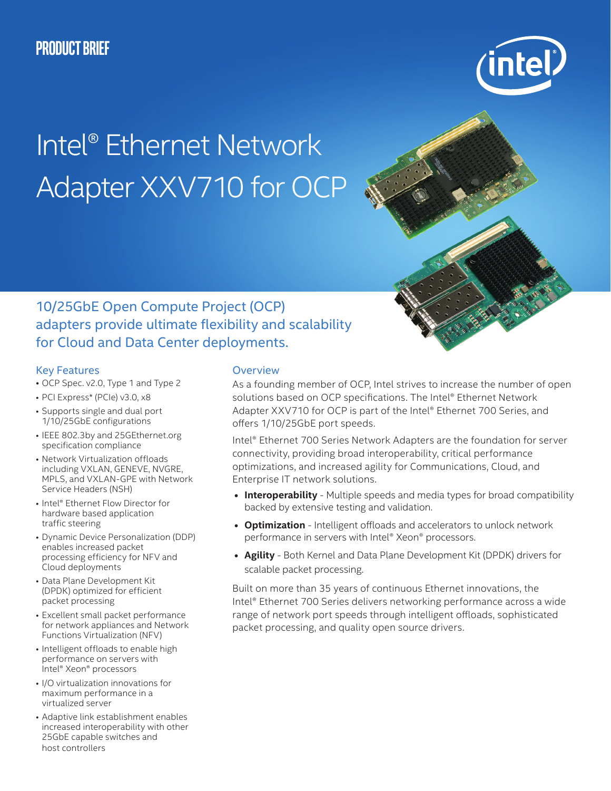# **Product Brief**



# Intel® Ethernet Network Adapter XXV710 for OCP



# 10/25GbE Open Compute Project (OCP) adapters provide ultimate flexibility and scalability for Cloud and Data Center deployments.

# Key Features

- OCP Spec. v2.0, Type 1 and Type 2
- PCI Express\* (PCIe) v3.0, x8
- Supports single and dual port 1/10/25GbE configurations
- IEEE 802.3by and 25GEthernet.org specification compliance
- Network Virtualization offloads including VXLAN, GENEVE, NVGRE, MPLS, and VXLAN-GPE with Network Service Headers (NSH)
- Intel® Ethernet Flow Director for hardware based application traffic steering
- Dynamic Device Personalization (DDP) enables increased packet processing efficiency for NFV and Cloud deployments
- Data Plane Development Kit (DPDK) optimized for efficient packet processing
- Excellent small packet performance for network appliances and Network Functions Virtualization (NFV)
- Intelligent offloads to enable high performance on servers with Intel® Xeon® processors
- I/O virtualization innovations for maximum performance in a virtualized server
- Adaptive link establishment enables increased interoperability with other 25GbE capable switches and host controllers

# **Overview**

As a founding member of OCP, Intel strives to increase the number of open solutions based on OCP specifications. The Intel® Ethernet Network Adapter XXV710 for OCP is part of the Intel® Ethernet 700 Series, and offers 1/10/25GbE port speeds.

Intel® Ethernet 700 Series Network Adapters are the foundation for server connectivity, providing broad interoperability, critical performance optimizations, and increased agility for Communications, Cloud, and Enterprise IT network solutions.

- **• Interoperability** Multiple speeds and media types for broad compatibility backed by extensive testing and validation.
- **• Optimization** Intelligent offloads and accelerators to unlock network performance in servers with Intel® Xeon® processors.
- **• Agility** Both Kernel and Data Plane Development Kit (DPDK) drivers for scalable packet processing.

Built on more than 35 years of continuous Ethernet innovations, the Intel® Ethernet 700 Series delivers networking performance across a wide range of network port speeds through intelligent offloads, sophisticated packet processing, and quality open source drivers.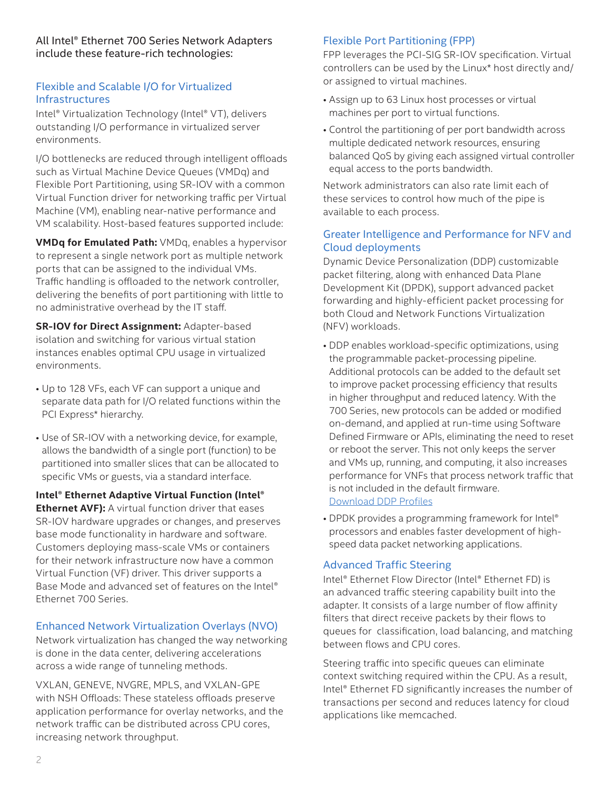All Intel® Ethernet 700 Series Network Adapters include these feature-rich technologies:

# Flexible and Scalable I/O for Virtualized Infrastructures

Intel® Virtualization Technology (Intel® VT), delivers outstanding I/O performance in virtualized server environments.

I/O bottlenecks are reduced through intelligent offloads such as Virtual Machine Device Queues (VMDq) and Flexible Port Partitioning, using SR-IOV with a common Virtual Function driver for networking traffic per Virtual Machine (VM), enabling near-native performance and VM scalability. Host-based features supported include:

**VMDq for Emulated Path:** VMDq, enables a hypervisor to represent a single network port as multiple network ports that can be assigned to the individual VMs. Traffic handling is offloaded to the network controller, delivering the benefits of port partitioning with little to no administrative overhead by the IT staff.

**SR-IOV for Direct Assignment:** Adapter-based isolation and switching for various virtual station instances enables optimal CPU usage in virtualized environments.

- Up to 128 VFs, each VF can support a unique and separate data path for I/O related functions within the PCI Express\* hierarchy.
- Use of SR-IOV with a networking device, for example, allows the bandwidth of a single port (function) to be partitioned into smaller slices that can be allocated to specific VMs or guests, via a standard interface.

**Intel® Ethernet Adaptive Virtual Function (Intel® Ethernet AVF):** A virtual function driver that eases SR-IOV hardware upgrades or changes, and preserves base mode functionality in hardware and software. Customers deploying mass-scale VMs or containers for their network infrastructure now have a common Virtual Function (VF) driver. This driver supports a Base Mode and advanced set of features on the Intel® Ethernet 700 Series.

# Enhanced Network Virtualization Overlays (NVO)

Network virtualization has changed the way networking is done in the data center, delivering accelerations across a wide range of tunneling methods.

VXLAN, GENEVE, NVGRE, MPLS, and VXLAN-GPE with NSH Offloads: These stateless offloads preserve application performance for overlay networks, and the network traffic can be distributed across CPU cores, increasing network throughput.

# Flexible Port Partitioning (FPP)

FPP leverages the PCI-SIG SR-IOV specification. Virtual controllers can be used by the Linux\* host directly and/ or assigned to virtual machines.

- Assign up to 63 Linux host processes or virtual machines per port to virtual functions.
- Control the partitioning of per port bandwidth across multiple dedicated network resources, ensuring balanced QoS by giving each assigned virtual controller equal access to the ports bandwidth.

Network administrators can also rate limit each of these services to control how much of the pipe is available to each process.

# Greater Intelligence and Performance for NFV and Cloud deployments

Dynamic Device Personalization (DDP) customizable packet filtering, along with enhanced Data Plane Development Kit (DPDK), support advanced packet forwarding and highly-efficient packet processing for both Cloud and Network Functions Virtualization (NFV) workloads.

- DDP enables workload-specific optimizations, using the programmable packet-processing pipeline. Additional protocols can be added to the default set to improve packet processing efficiency that results in higher throughput and reduced latency. With the 700 Series, new protocols can be added or modified on-demand, and applied at run-time using Software Defined Firmware or APIs, eliminating the need to reset or reboot the server. This not only keeps the server and VMs up, running, and computing, it also increases performance for VNFs that process network traffic that is not included in the default firmware. [Download DDP Profiles](https://www.intel.com/content/www/us/en/search.html?query=DDP&keyword=Fortville%20drivers&topicarea=Downloads&filters=Download%20Center)
- DPDK provides a programming framework for Intel<sup>®</sup> processors and enables faster development of highspeed data packet networking applications.

# Advanced Traffic Steering

Intel® Ethernet Flow Director (Intel® Ethernet FD) is an advanced traffic steering capability built into the adapter. It consists of a large number of flow affinity filters that direct receive packets by their flows to queues for classification, load balancing, and matching between flows and CPU cores.

Steering traffic into specific queues can eliminate context switching required within the CPU. As a result, Intel® Ethernet FD significantly increases the number of transactions per second and reduces latency for cloud applications like memcached.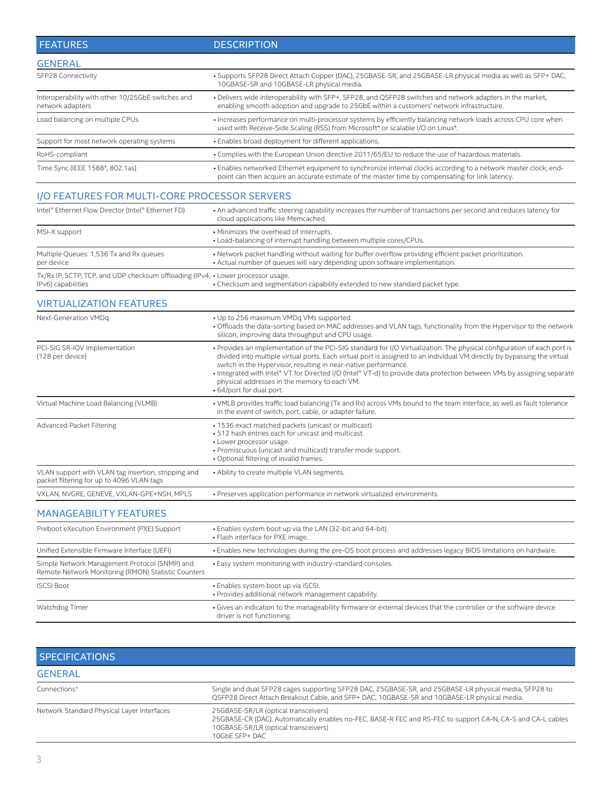|  |  |  | <b>FEATURES</b> |  |
|--|--|--|-----------------|--|
|  |  |  |                 |  |

## **DESCRIPTION**

| GENERAL            |  |
|--------------------|--|
| SFP28 Connectivity |  |

| SFP28 Connectivity                                                    | . Supports SFP28 Direct Attach Copper (DAC), 25GBASE-SR, and 25GBASE-LR physical media as well as SFP+ DAC,<br>10GBASE-SR and 10GBASE-LR physical media.                                                            |
|-----------------------------------------------------------------------|---------------------------------------------------------------------------------------------------------------------------------------------------------------------------------------------------------------------|
| Interoperability with other 10/25GbE switches and<br>network adapters | . Delivers wide interoperability with SFP+, SFP28, and QSFP28 switches and network adapters in the market,<br>enabling smooth adoption and upgrade to 25GbE within a customers' network infrastructure.             |
| Load balancing on multiple CPUs                                       | · Increases performance on multi-processor systems by efficiently balancing network loads across CPU core when<br>used with Receive-Side Scaling (RSS) from Microsoft* or scalable I/O on Linux*.                   |
| Support for most network operating systems                            | • Enables broad deployment for different applications.                                                                                                                                                              |
| RoHS-compliant                                                        | • Complies with the European Union directive 2011/65/EU to reduce the use of hazardous materials.                                                                                                                   |
| Time Sync (IEEE 1588*, 802.1as)                                       | • Enables networked Ethernet equipment to synchronize internal clocks according to a network master clock; end-<br>point can then acquire an accurate estimate of the master time by compensating for link latency. |

#### I/O FEATURES FOR MULTI-CORE PROCESSOR SERVERS

| Intel® Ethernet Flow Director (Intel® Ethernet FD)                                                     | • An advanced traffic steering capability increases the number of transactions per second and reduces latency for<br>cloud applications like Memcached.                                 |
|--------------------------------------------------------------------------------------------------------|-----------------------------------------------------------------------------------------------------------------------------------------------------------------------------------------|
| MSI-X support                                                                                          | • Minimizes the overhead of interrupts.<br>. Load-balancing of interrupt handling between multiple cores/CPUs.                                                                          |
| Multiple Queues: 1,536 Tx and Rx queues<br>per device                                                  | . Network packet handling without waiting for buffer overflow providing efficient packet prioritization.<br>• Actual number of queues will vary depending upon software implementation. |
| Tx/Rx IP, SCTP, TCP, and UDP checksum offloading (IPv4, • Lower processor usage.<br>IPv6) capabilities | • Checksum and segmentation capability extended to new standard packet type.                                                                                                            |

#### VIRTUALIZATION FEATURES

| Next-Generation VMDq                                                                             | • Up to 256 maximum VMDg VMs supported.<br>. Offloads the data-sorting based on MAC addresses and VLAN tags, functionality from the Hypervisor to the network<br>silicon, improving data throughput and CPU usage.                                                                                                                                                                                                                                                                                                            |
|--------------------------------------------------------------------------------------------------|-------------------------------------------------------------------------------------------------------------------------------------------------------------------------------------------------------------------------------------------------------------------------------------------------------------------------------------------------------------------------------------------------------------------------------------------------------------------------------------------------------------------------------|
| PCI-SIG SR-IOV Implementation<br>(128 per device)                                                | • Provides an implementation of the PCI-SIG standard for I/O Virtualization. The physical configuration of each port is<br>divided into multiple virtual ports. Each virtual port is assigned to an individual VM directly by bypassing the virtual<br>switch in the Hypervisor, resulting in near-native performance.<br>• Integrated with Intel® VT for Directed I/O (Intel® VT-d) to provide data protection between VMs by assigning separate<br>physical addresses in the memory to each VM.<br>• 64/port for dual port. |
| Virtual Machine Load Balancing (VLMB)                                                            | • VMLB provides traffic load balancing (Tx and Rx) across VMs bound to the team interface, as well as fault tolerance<br>in the event of switch, port, cable, or adapter failure.                                                                                                                                                                                                                                                                                                                                             |
| Advanced Packet Filtering                                                                        | • 1536 exact matched packets (unicast or multicast).<br>• 512 hash entries each for unicast and multicast.<br>• Lower processor usage.<br>. Promiscuous (unicast and multicast) transfer mode support.<br>• Optional filtering of invalid frames.                                                                                                                                                                                                                                                                             |
| VLAN support with VLAN tag insertion, stripping and<br>packet filtering for up to 4096 VLAN tags | • Ability to create multiple VLAN segments.                                                                                                                                                                                                                                                                                                                                                                                                                                                                                   |
| VXLAN, NVGRE, GENEVE, VXLAN-GPE+NSH, MPLS                                                        | • Preserves application performance in network virtualized environments.                                                                                                                                                                                                                                                                                                                                                                                                                                                      |
|                                                                                                  |                                                                                                                                                                                                                                                                                                                                                                                                                                                                                                                               |

#### MANAGEABILITY FEATURES

| Preboot eXecution Environment (PXE) Support                                                          | • Enables system boot up via the LAN (32-bit and 64-bit).<br>• Flash interface for PXE image.                                                    |
|------------------------------------------------------------------------------------------------------|--------------------------------------------------------------------------------------------------------------------------------------------------|
| Unified Extensible Firmware Interface (UEFI)                                                         | . Enables new technologies during the pre-OS boot process and addresses legacy BIOS limitations on hardware.                                     |
| Simple Network Management Protocol (SNMP) and<br>Remote Network Monitoring (RMON) Statistic Counters | . Easy system monitoring with industry-standard consoles.                                                                                        |
| <b>iSCSI Boot</b>                                                                                    | • Enables system boot up via iSCSI.<br>. Provides additional network management capability.                                                      |
| Watchdog Timer                                                                                       | • Gives an indication to the manageability firmware or external devices that the controller or the software device<br>driver is not functioning. |

| <b>SPECIFICATIONS</b>                      |                                                                                                                                                                                                               |
|--------------------------------------------|---------------------------------------------------------------------------------------------------------------------------------------------------------------------------------------------------------------|
| <b>GENERAL</b>                             |                                                                                                                                                                                                               |
| Connections <sup>1</sup>                   | Single and dual SFP28 cages supporting SFP28 DAC, 25GBASE-SR, and 25GBASE-LR physical media, SFP28 to<br>QSFP28 Direct Attach Breakout Cable, and SFP+ DAC, 10GBASE-SR and 10GBASE-LR physical media.         |
| Network Standard Physical Layer Interfaces | 25GBASE-SR/LR (optical transceivers)<br>25GBASE-CR (DAC). Automatically enables no-FEC, BASE-R FEC and RS-FEC to support CA-N, CA-S and CA-L cables<br>10GBASE-SR/LR (optical transceivers)<br>10GbE SFP+ DAC |